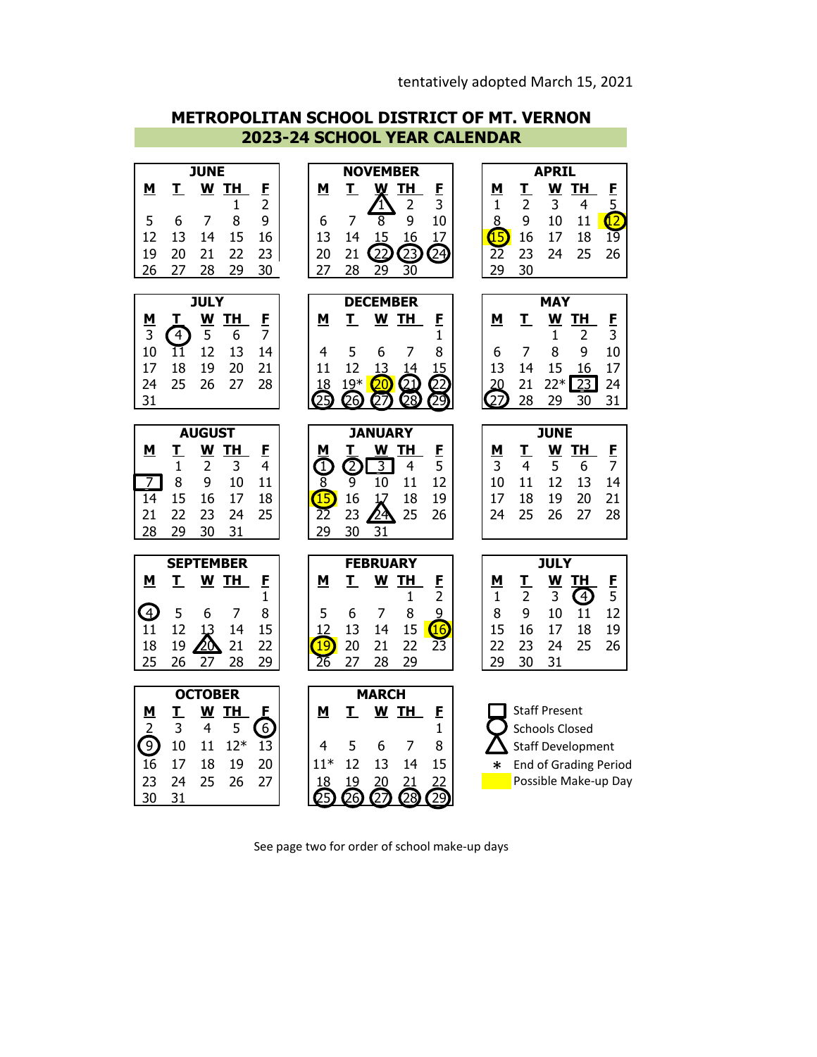**2023-24 SCHOOL YEAR CALENDAR METROPOLITAN SCHOOL DISTRICT OF MT. VERNON**



See page two for order of school make-up days